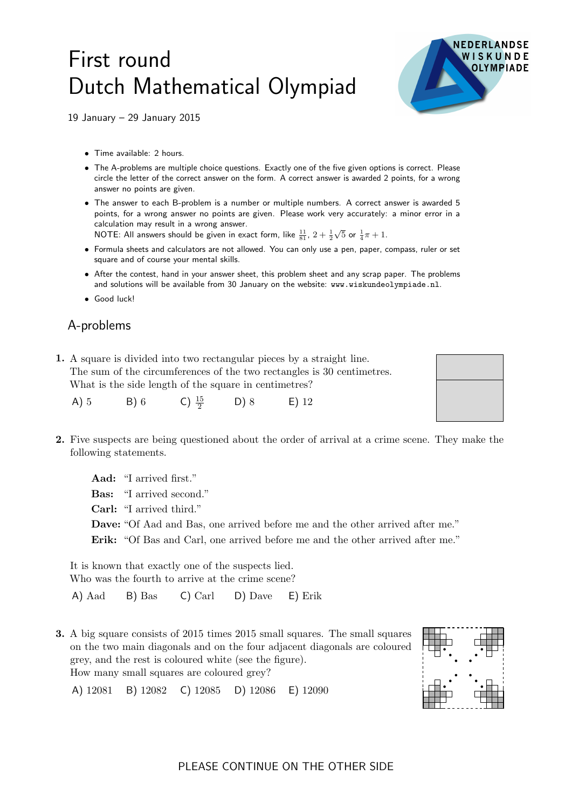## First round Dutch Mathematical Olympiad



19 January – 29 January 2015

- Time available: 2 hours.
- The A-problems are multiple choice questions. Exactly one of the five given options is correct. Please circle the letter of the correct answer on the form. A correct answer is awarded 2 points, for a wrong answer no points are given.
- The answer to each B-problem is a number or multiple numbers. A correct answer is awarded 5 points, for a wrong answer no points are given. Please work very accurately: a minor error in a calculation may result in a wrong answer.

NOTE: All answers should be given in exact form, like  $\frac{11}{81}$ ,  $2+\frac{1}{2}$  $\sqrt{5}$  or  $\frac{1}{4}\pi + 1$ .

- Formula sheets and calculators are not allowed. You can only use a pen, paper, compass, ruler or set square and of course your mental skills.
- After the contest, hand in your answer sheet, this problem sheet and any scrap paper. The problems and solutions will be available from 30 January on the website: www.wiskundeolympiade.nl.
- Good luck!

## A-problems

1. A square is divided into two rectangular pieces by a straight line. The sum of the circumferences of the two rectangles is 30 centimetres. What is the side length of the square in centimetres?

| B) 6<br>A)5 | C) $\frac{15}{2}$ | D) 8 | $E)$ 12 |
|-------------|-------------------|------|---------|
|-------------|-------------------|------|---------|

2. Five suspects are being questioned about the order of arrival at a crime scene. They make the following statements.

Aad: "I arrived first." Bas: "I arrived second." Carl: "I arrived third." Dave: "Of Aad and Bas, one arrived before me and the other arrived after me." Erik: "Of Bas and Carl, one arrived before me and the other arrived after me."

It is known that exactly one of the suspects lied. Who was the fourth to arrive at the crime scene?

A) Aad B) Bas C) Carl D) Dave E) Erik

3. A big square consists of 2015 times 2015 small squares. The small squares on the two main diagonals and on the four adjacent diagonals are coloured grey, and the rest is coloured white (see the figure). How many small squares are coloured grey?

A) 12081 B) 12082 C) 12085 D) 12086 E) 12090



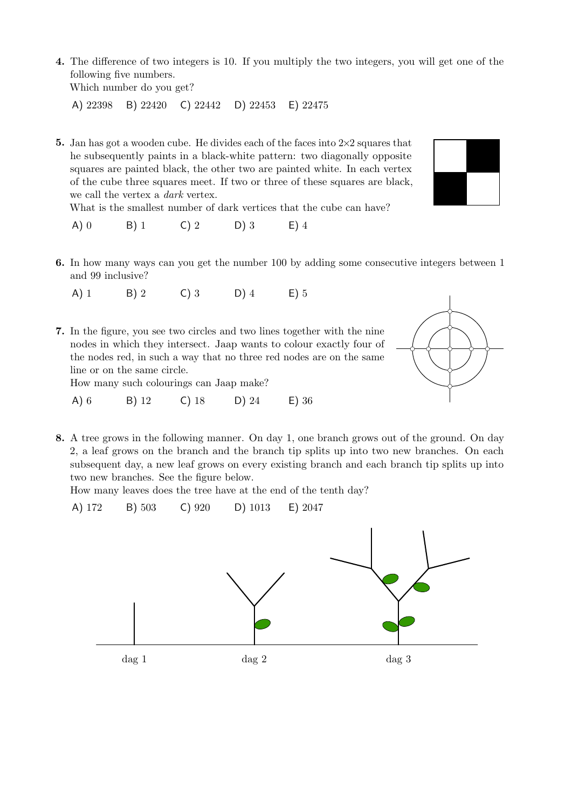4. The difference of two integers is 10. If you multiply the two integers, you will get one of the following five numbers.

Which number do you get?

A) 22398 B) 22420 C) 22442 D) 22453 E) 22475

5. Jan has got a wooden cube. He divides each of the faces into  $2\times 2$  squares that he subsequently paints in a black-white pattern: two diagonally opposite squares are painted black, the other two are painted white. In each vertex of the cube three squares meet. If two or three of these squares are black, we call the vertex a dark vertex.

What is the smallest number of dark vertices that the cube can have?

- A) 0 B) 1 C) 2 D) 3 E) 4
- 6. In how many ways can you get the number 100 by adding some consecutive integers between 1 and 99 inclusive?
	- A) 1 B) 2 C) 3 D) 4 E) 5
- 7. In the figure, you see two circles and two lines together with the nine nodes in which they intersect. Jaap wants to colour exactly four of the nodes red, in such a way that no three red nodes are on the same line or on the same circle.

How many such colourings can Jaap make?

- A) 6 B) 12 C) 18 D) 24 E) 36
- 8. A tree grows in the following manner. On day 1, one branch grows out of the ground. On day 2, a leaf grows on the branch and the branch tip splits up into two new branches. On each subsequent day, a new leaf grows on every existing branch and each branch tip splits up into two new branches. See the figure below.

How many leaves does the tree have at the end of the tenth day?